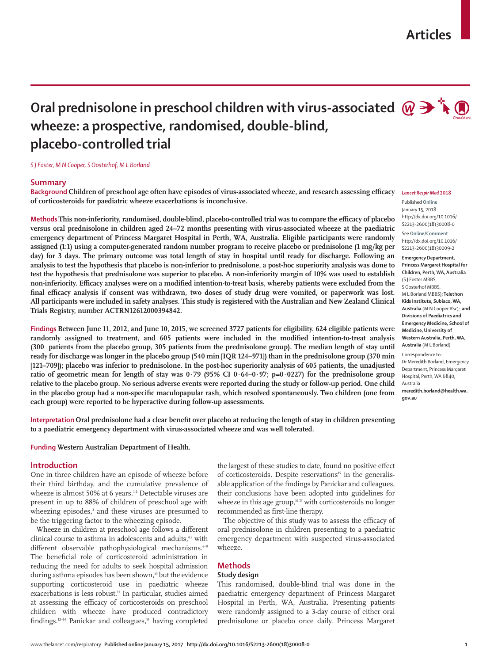# **Oral prednisolone in preschool children with virus-associated**  $\omega \geq 1$ **wheeze: a prospective, randomised, double-blind, placebo-controlled trial**

*S J Foster, M N Cooper, S Oosterhof, M L Borland*

#### **Summary**

**Background Children of preschool age often have episodes of virus-associated wheeze, and research assessing efficacy**  *Lancet Respir Med* **2018 of corticosteroids for paediatric wheeze exacerbations is inconclusive.**

**Methods This non-inferiority, randomised, double-blind, placebo-controlled trial was to compare the efficacy of placebo versus oral prednisolone in children aged 24–72 months presenting with virus-associated wheeze at the paediatric emergency department of Princess Margaret Hospital in Perth, WA, Australia. Eligible participants were randomly assigned (1:1) using a computer-generated random number program to receive placebo or prednisolone (1 mg/kg per day) for 3 days. The primary outcome was total length of stay in hospital until ready for discharge. Following an analysis to test the hypothesis that placebo is non-inferior to prednisolone, a post-hoc superiority analysis was done to test the hypothesis that prednisolone was superior to placebo. A non-inferiority margin of 10% was used to establish non-inferiority. Efficacy analyses were on a modified intention-to-treat basis, whereby patients were excluded from the final efficacy analysis if consent was withdrawn, two doses of study drug were vomited, or paperwork was lost. All participants were included in safety analyses. This study is registered with the Australian and New Zealand Clinical Trials Registry, number ACTRN12612000394842.**

**Findings Between June 11, 2012, and June 10, 2015, we screened 3727 patients for eligibility. 624 eligible patients were randomly assigned to treatment, and 605 patients were included in the modified intention-to-treat analysis (300 patients from the placebo group, 305 patients from the prednisolone group). The median length of stay until ready for discharge was longer in the placebo group (540 min [IQR 124–971]) than in the prednisolone group (370 min [121–709]); placebo was inferior to prednisolone. In the post-hoc superiority analysis of 605 patients, the unadjusted ratio of geometric mean for length of stay was 0·79 (95% CI 0·64–0·97; p=0·0227) for the prednisolone group relative to the placebo group. No serious adverse events were reported during the study or follow-up period. One child in the placebo group had a non-specific maculopapular rash, which resolved spontaneously. Two children (one from each group) were reported to be hyperactive during follow-up assessments.**

**Interpretation Oral prednisolone had a clear benefit over placebo at reducing the length of stay in children presenting to a paediatric emergency department with virus-associated wheeze and was well tolerated.**

**Funding Western Australian Department of Health.** 

# **Introduction**

One in three children have an episode of wheeze before their third birthday, and the cumulative prevalence of wheeze is almost 50% at 6 years.<sup>1,2</sup> Detectable viruses are present in up to 88% of children of preschool age with wheezing episodes,<sup>3</sup> and these viruses are presumed to be the triggering factor to the wheezing episode.

Wheeze in children at preschool age follows a different clinical course to asthma in adolescents and adults,<sup>4,5</sup> with different observable pathophysiological mechanisms.<sup>6-9</sup> The beneficial role of corticosteroid administration in reducing the need for adults to seek hospital admission during asthma episodes has been shown,<sup>10</sup> but the evidence supporting corticosteroid use in paediatric wheeze exacerbations is less robust.<sup>11</sup> In particular, studies aimed at assessing the efficacy of corticosteroids on preschool children with wheeze have produced contradictory findings.<sup>12–14</sup> Panickar and colleagues,<sup>14</sup> having completed the largest of these studies to date, found no positive effect of corticosteroids. Despite reservations<sup>15</sup> in the generalisable application of the findings by Panickar and colleagues, their conclusions have been adopted into guidelines for wheeze in this age group, $16,17$  with corticosteroids no longer recommended as first-line therapy.

The objective of this study was to assess the efficacy of oral prednisolone in children presenting to a paediatric emergency department with suspected virus-associated wheeze.

# **Methods**

# **Study design**

This randomised, double-blind trial was done in the paediatric emergency department of Princess Margaret Hospital in Perth, WA, Australia. Presenting patients were randomly assigned to a 3-day course of either oral prednisolone or placebo once daily. Princess Margaret

#### Published **Online** January 15, 2018 http://dx.doi.org/10.1016/ S2213-2600(18)30008-0

See **Online/Comment** http://dx.doi.org/10.1016/ S2213-2600(18)30009-2

**Emergency Department, Princess Margaret Hospital for Children, Perth, WA, Australia**  (S J Foster MBBS, S Oosterhof MBBS, M L Borland MBBS)**; Telethon Kids Institute, Subiaco, WA, Australia** (M N Cooper BSc); **and Divisions of Paediatrics and Emergency Medicine, School of Medicine, University of Western Australia, Perth, WA, Australia** (M L Borland)

Correspondence to: Dr Meredith Borland, Emergency Department, Princess Margaret Hospital, Perth, WA 6840, Australia **meredith.borland@health.wa. gov.au**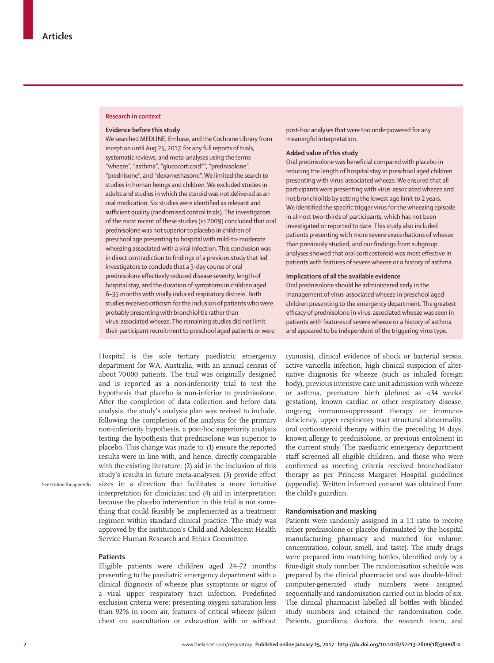#### **Research in context**

#### **Evidence before this study**

We searched MEDLINE, Embase, and the Cochrane Library from inception until Aug 25, 2017, for any full reports of trials, systematic reviews, and meta-analyses using the terms "wheeze", "asthma", "glucocorticoid\*", "prednisolone", "prednisone", and "dexamethasone". We limited the search to studies in human beings and children. We excluded studies in adults and studies in which the steroid was not delivered as an oral medication. Six studies were identified as relevant and sufficient quality (randomised control trials). The investigators of the most recent of these studies (in 2009) concluded that oral prednisolone was not superior to placebo in children of preschool age presenting to hospital with mild-to-moderate wheezing associated with a viral infection. This conclusion was in direct contradiction to findings of a previous study that led investigators to conclude that a 3-day course of oral prednisolone effectively reduced disease severity, length of hospital stay, and the duration of symptoms in children aged 6–35 months with virally induced respiratory distress. Both studies received criticism for the inclusion of patients who were probably presenting with bronchiolitis rather than virus-associated wheeze. The remaining studies did not limit their participant recruitment to preschool aged patients or were

Hospital is the sole tertiary paediatric emergency department for WA, Australia, with an annual census of about 70000 patients. The trial was originally designed and is reported as a non-inferiority trial to test the hypothesis that placebo is non-inferior to prednisolone. After the completion of data collection and before data analysis, the study's analysis plan was revised to include, following the completion of the analysis for the primary non-inferiority hypothesis, a post-hoc superiority analysis testing the hypothesis that prednisolone was superior to placebo. This change was made to: (1) ensure the reported results were in line with, and hence, directly comparable with the existing literature; (2) aid in the inclusion of this study's results in future meta-analyses; (3) provide effect sizes in a direction that facilitates a more intuitive interpretation for clinicians; and (4) aid in interpretation because the placebo intervention in this trial is not something that could feasibly be implemented as a treatment regimen within standard clinical practice. The study was approved by the institution's Child and Adolescent Health Service Human Research and Ethics Committee.

See **Online** for appendix

#### **Patients**

Eligible patients were children aged 24–72 months presenting to the paediatric emergency department with a clinical diagnosis of wheeze plus symptoms or signs of a viral upper respiratory tract infection. Predefined exclusion criteria were: presenting oxygen saturation less than 92% in room air, features of critical wheeze (silent chest on auscultation or exhaustion with or without

post-hoc analyses that were too underpowered for any meaningful interpretation.

#### **Added value of this study**

Oral prednisolone was beneficial compared with placebo in reducing the length of hospital stay in preschool aged children presenting with virus-associated wheeze. We ensured that all participants were presenting with virus-associated wheeze and not bronchiolitis by setting the lowest age limit to 2 years. We identified the specific trigger virus for the wheezing episode in almost two-thirds of participants, which has not been investigated or reported to date. This study also included patients presenting with more severe exacerbations of wheeze than previously studied, and our findings from subgroup analyses showed that oral corticosteroid was most effective in patients with features of severe wheeze or a history of asthma.

#### **Implications of all the available evidence**

Oral prednisolone should be administered early in the management of virus-associated wheeze in preschool aged children presenting to the emergency department. The greatest efficacy of prednisolone in virus-associated wheeze was seen in patients with features of severe wheeze or a history of asthma and appeared to be independent of the triggering virus type.

cyanosis), clinical evidence of shock or bacterial sepsis, active varicella infection, high clinical suspicion of alternative diagnosis for wheeze (such as inhaled foreign body), previous intensive care unit admission with wheeze or asthma, premature birth (defined as <34 weeks' gestation), known cardiac or other respiratory disease, ongoing immunosuppressant therapy or immunodeficiency, upper respiratory tract structural abnormality, oral corticosteroid therapy within the preceding 14 days, known allergy to prednisolone, or previous enrolment in the current study. The paediatric emergency department staff screened all eligible children, and those who were confirmed as meeting criteria received bronchodilator therapy as per Princess Margaret Hospital guidelines (appendix). Written informed consent was obtained from the child's guardian.

# **Randomisation and masking**

Patients were randomly assigned in a 1:1 ratio to receive either prednisolone or placebo (formulated by the hospital manufacturing pharmacy and matched for volume, concentration, colour, smell, and taste). The study drugs were prepared into matching bottles, identified only by a four-digit study number. The randomisation schedule was prepared by the clinical pharmacist and was double-blind; computer-generated study numbers were assigned sequentially and randomisation carried out in blocks of six. The clinical pharmacist labelled all bottles with blinded study numbers and retained the randomisation code. Patients, guardians, doctors, the research team, and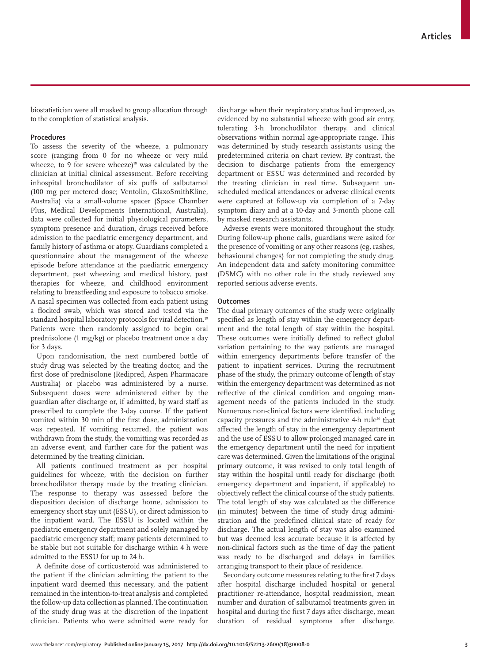biostatistician were all masked to group allocation through to the completion of statistical analysis.

# **Procedures**

To assess the severity of the wheeze, a pulmonary score (ranging from 0 for no wheeze or very mild wheeze, to 9 for severe wheeze)<sup>18</sup> was calculated by the clinician at initial clinical assessment. Before receiving inhospital bronchodilator of six puffs of salbutamol (100 mg per metered dose; Ventolin, GlaxoSmithKline, Australia) via a small-volume spacer (Space Chamber Plus**,** Medical Developments International, Australia), data were collected for initial physiological parameters, symptom presence and duration, drugs received before admission to the paediatric emergency department, and family history of asthma or atopy. Guardians completed a questionnaire about the management of the wheeze episode before attendance at the paediatric emergency department, past wheezing and medical history, past therapies for wheeze, and childhood environment relating to breastfeeding and exposure to tobacco smoke. A nasal specimen was collected from each patient using a flocked swab, which was stored and tested via the standard hospital laboratory protocols for viral detection.<sup>19</sup> Patients were then randomly assigned to begin oral prednisolone (1 mg/kg) or placebo treatment once a day for 3 days.

Upon randomisation, the next numbered bottle of study drug was selected by the treating doctor, and the first dose of prednisolone (Redipred**,** Aspen Pharmacare Australia) or placebo was administered by a nurse. Subsequent doses were administered either by the guardian after discharge or, if admitted, by ward staff as prescribed to complete the 3-day course. If the patient vomited within 30 min of the first dose, administration was repeated. If vomiting recurred, the patient was withdrawn from the study, the vomitting was recorded as an adverse event, and further care for the patient was determined by the treating clinician.

All patients continued treatment as per hospital guidelines for wheeze, with the decision on further bronchodilator therapy made by the treating clinician. The response to therapy was assessed before the disposition decision of discharge home, admission to emergency short stay unit (ESSU), or direct admission to the inpatient ward. The ESSU is located within the paediatric emergency department and solely managed by paediatric emergency staff; many patients determined to be stable but not suitable for discharge within 4 h were admitted to the ESSU for up to 24 h.

A definite dose of corticosteroid was administered to the patient if the clinician admitting the patient to the inpatient ward deemed this necessary, and the patient remained in the intention-to-treat analysis and completed the follow-up data collection as planned. The continuation of the study drug was at the discretion of the inpatient clinician. Patients who were admitted were ready for discharge when their respiratory status had improved, as evidenced by no substantial wheeze with good air entry, tolerating 3-h bronchodilator therapy, and clinical observations within normal age-appropriate range. This was determined by study research assistants using the predetermined criteria on chart review. By contrast, the decision to discharge patients from the emergency department or ESSU was determined and recorded by the treating clinician in real time. Subsequent unscheduled medical attendances or adverse clinical events were captured at follow-up via completion of a 7-day symptom diary and at a 10-day and 3-month phone call by masked research assistants.

Adverse events were monitored throughout the study. During follow-up phone calls, guardians were asked for the presence of vomiting or any other reasons (eg, rashes, behavioural changes) for not completing the study drug. An independent data and safety monitoring committee (DSMC) with no other role in the study reviewed any reported serious adverse events.

#### **Outcomes**

The dual primary outcomes of the study were originally specified as length of stay within the emergency department and the total length of stay within the hospital. These outcomes were initially defined to reflect global variation pertaining to the way patients are managed within emergency departments before transfer of the patient to inpatient services. During the recruitment phase of the study, the primary outcome of length of stay within the emergency department was determined as not reflective of the clinical condition and ongoing management needs of the patients included in the study. Numerous non-clinical factors were identified, including capacity pressures and the administrative 4-h rule<sup>20</sup> that affected the length of stay in the emergency department and the use of ESSU to allow prolonged managed care in the emergency department until the need for inpatient care was determined. Given the limitations of the original primary outcome, it was revised to only total length of stay within the hospital until ready for discharge (both emergency department and inpatient, if applicable) to objectively reflect the clinical course of the study patients. The total length of stay was calculated as the difference (in minutes) between the time of study drug administration and the predefined clinical state of ready for discharge. The actual length of stay was also examined but was deemed less accurate because it is affected by non-clinical factors such as the time of day the patient was ready to be discharged and delays in families arranging transport to their place of residence.

Secondary outcome measures relating to the first 7 days after hospital discharge included hospital or general practitioner re-attendance, hospital readmission, mean number and duration of salbutamol treatments given in hospital and during the first 7 days after discharge, mean duration of residual symptoms after discharge,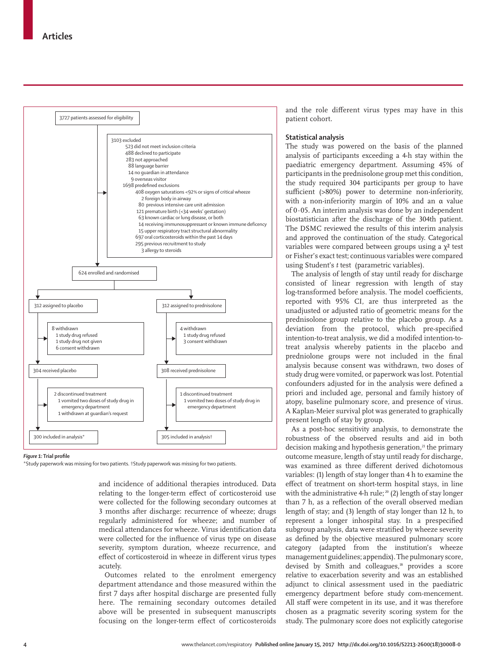

#### *Figure 1:* **Trial profile**

\*Study paperwork was missing for two patients. †Study paperwork was missing for two patients.

and incidence of additional therapies introduced. Data relating to the longer-term effect of corticosteroid use were collected for the following secondary outcomes at 3 months after discharge: recurrence of wheeze; drugs regularly administered for wheeze; and number of medical attendances for wheeze. Virus identification data were collected for the influence of virus type on disease severity, symptom duration, wheeze recurrence, and effect of corticosteroid in wheeze in different virus types acutely.

Outcomes related to the enrolment emergency department attendance and those measured within the first 7 days after hospital discharge are presented fully here. The remaining secondary outcomes detailed above will be presented in subsequent manuscripts focusing on the longer-term effect of corticosteroids and the role different virus types may have in this patient cohort.

# **Statistical analysis**

The study was powered on the basis of the planned analysis of participants exceeding a 4-h stay within the paediatric emergency department. Assuming 45% of participants in the prednisolone group met this condition, the study required 304 participants per group to have sufficient (>80%) power to determine non-inferiority, with a non-inferiority margin of 10% and an α value of 0·05. An interim analysis was done by an independent biostatistician after the discharge of the 304th patient. The DSMC reviewed the results of this interim analysis and approved the continuation of the study. Categorical variables were compared between groups using a  $\chi^2$  test or Fisher's exact test; continuous variables were compared using Student's *t* test (parametric variables).

The analysis of length of stay until ready for discharge consisted of linear regression with length of stay log-transformed before analysis. The model coefficients, reported with 95% CI, are thus interpreted as the unadjusted or adjusted ratio of geometric means for the prednisolone group relative to the placebo group. As a deviation from the protocol, which pre-specified intention-to-treat analysis, we did a modifed intention-totreat analysis whereby patients in the placebo and predniolone groups were not included in the final analysis because consent was withdrawn, two doses of study drug were vomited, or paperwork was lost. Potential confounders adjusted for in the analysis were defined a priori and included age, personal and family history of atopy, baseline pulmonary score, and presence of virus. A Kaplan-Meier survival plot was generated to graphically present length of stay by group.

As a post-hoc sensitivity analysis, to demonstrate the robustness of the observed results and aid in both decision making and hypothesis generation, $21$  the primary outcome measure, length of stay until ready for discharge, was examined as three different derived dichotomous variables: (1) length of stay longer than 4 h to examine the effect of treatment on short-term hospital stays, in line with the administrative 4-h rule;  $20$  (2) length of stay longer than 7 h, as a reflection of the overall observed median length of stay; and (3) length of stay longer than 12 h, to represent a longer inhospital stay. In a prespecified subgroup analysis, data were stratified by wheeze severity as defined by the objective measured pulmonary score category (adapted from the institution's wheeze management guidelines; appendix). The pulmonary score, devised by Smith and colleagues,<sup>18</sup> provides a score relative to exacerbation severity and was an established adjunct to clinical assessment used in the paediatric emergency department before study com-mencement. All staff were competent in its use, and it was therefore chosen as a pragmatic severity scoring system for the study. The pulmonary score does not explicitly categorise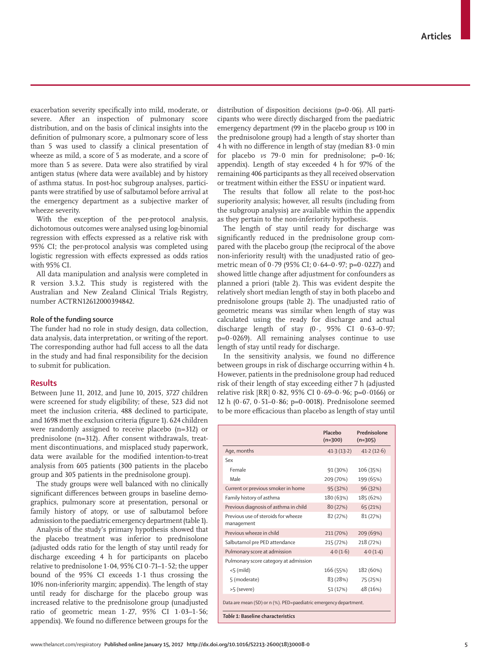exacerbation severity specifically into mild, moderate, or severe. After an inspection of pulmonary score distribution, and on the basis of clinical insights into the definition of pulmonary score, a pulmonary score of less than 5 was used to classify a clinical presentation of wheeze as mild, a score of 5 as moderate, and a score of more than 5 as severe. Data were also stratified by viral antigen status (where data were available) and by history of asthma status. In post-hoc subgroup analyses, participants were stratified by use of salbutamol before arrival at the emergency department as a subjective marker of wheeze severity.

With the exception of the per-protocol analysis, dichotomous outcomes were analysed using log-binomial regression with effects expressed as a relative risk with 95% CI; the per-protocol analysis was completed using logistic regression with effects expressed as odds ratios with 95% CI.

All data manipulation and analysis were completed in R version 3.3.2. This study is registered with the Australian and New Zealand Clinical Trials Registry, number ACTRN12612000394842.

#### **Role of the funding source**

The funder had no role in study design, data collection, data analysis, data interpretation, or writing of the report. The corresponding author had full access to all the data in the study and had final responsibility for the decision to submit for publication.

# **Results**

Between June 11, 2012, and June 10, 2015, 3727 children were screened for study eligibility; of these, 523 did not meet the inclusion criteria, 488 declined to participate, and 1698 met the exclusion criteria (figure 1). 624 children were randomly assigned to receive placebo (n=312) or prednisolone (n=312). After consent withdrawals, treatment discontinuations, and misplaced study paperwork, data were available for the modified intention-to-treat analysis from 605 patients (300 patients in the placebo group and 305 patients in the prednisolone group).

The study groups were well balanced with no clinically significant differences between groups in baseline demographics, pulmonary score at presentation, personal or family history of atopy, or use of salbutamol before admission to the paediatric emergency department (table 1).

Analysis of the study's primary hypothesis showed that the placebo treatment was inferior to prednisolone (adjusted odds ratio for the length of stay until ready for discharge exceeding 4 h for participants on placebo relative to prednisolone 1·04, 95% CI 0·71–1·52; the upper bound of the 95% CI exceeds 1·1 thus crossing the 10% non-inferiority margin; appendix). The length of stay until ready for discharge for the placebo group was increased relative to the prednisolone group (unadjusted ratio of geometric mean 1·27, 95% CI 1·03–1·56; appendix). We found no difference between groups for the

distribution of disposition decisions  $(p=0.06)$ . All participants who were directly discharged from the paediatric emergency department (99 in the placebo group *vs* 100 in the prednisolone group) had a length of stay shorter than 4 h with no difference in length of stay (median 83·0 min for placebo *vs* 79·0 min for prednisolone; p=0·16; appendix). Length of stay exceeded 4 h for 97% of the remaining 406 participants as they all received observation or treatment within either the ESSU or inpatient ward.

The results that follow all relate to the post-hoc superiority analysis; however, all results (including from the subgroup analysis) are available within the appendix as they pertain to the non-inferiority hypothesis.

The length of stay until ready for discharge was significantly reduced in the prednisolone group compared with the placebo group (the reciprocal of the above non-inferiority result) with the unadjusted ratio of geometric mean of 0·79 (95% CI; 0·64–0·97; p=0·0227) and showed little change after adjustment for confounders as planned a priori (table 2). This was evident despite the relatively short median length of stay in both placebo and prednisolone groups (table 2). The unadjusted ratio of geometric means was similar when length of stay was calculated using the ready for discharge and actual discharge length of stay  $(0 \cdot, 95\% \text{ CI } 0.63-0.97;$  $p=0.0269$ ). All remaining analyses continue to use length of stay until ready for discharge.

In the sensitivity analysis, we found no difference between groups in risk of discharge occurring within 4 h. However, patients in the prednisolone group had reduced risk of their length of stay exceeding either 7 h (adjusted relative risk [RR] 0·82, 95% CI 0·69–0·96; p=0·0166) or 12 h (0·67, 0·51–0·86; p=0·0018). Prednisolone seemed to be more efficacious than placebo as length of stay until

|                                                                   | Placebo<br>$(n=300)$ | Prednisolone<br>$(n=305)$ |  |  |  |
|-------------------------------------------------------------------|----------------------|---------------------------|--|--|--|
| Age, months                                                       | 41.3(13.2)           | 41.2(12.6)                |  |  |  |
| Sex                                                               |                      |                           |  |  |  |
| Female                                                            | 91 (30%)             | 106 (35%)                 |  |  |  |
| Male                                                              | 209 (70%)            | 199 (65%)                 |  |  |  |
| Current or previous smoker in home                                | 95 (32%)             | 96 (32%)                  |  |  |  |
| Family history of asthma                                          | 180 (63%)            | 185 (62%)                 |  |  |  |
| Previous diagnosis of asthma in child                             | 80 (27%)             | 65 (21%)                  |  |  |  |
| Previous use of steroids for wheeze<br>management                 | 82 (27%)             | 81 (27%)                  |  |  |  |
| Previous wheeze in child                                          | 211 (70%)            | 209 (69%)                 |  |  |  |
| Salbutamol pre PED attendance                                     | 215 (72%)            | 218 (72%)                 |  |  |  |
| Pulmonary score at admission                                      | 4.0(1.6)             | 4.0(1.4)                  |  |  |  |
| Pulmonary score category at admission                             |                      |                           |  |  |  |
| $<$ 5 (mild)                                                      | 166 (55%)            | 182 (60%)                 |  |  |  |
| 5 (moderate)                                                      | 83 (28%)             | 75 (25%)                  |  |  |  |
| >5 (severe)                                                       | 51 (17%)             | 48 (16%)                  |  |  |  |
| Data are mean (SD) or n (%). PED=paediatric emergency department. |                      |                           |  |  |  |
| Table 1: Baseline characteristics                                 |                      |                           |  |  |  |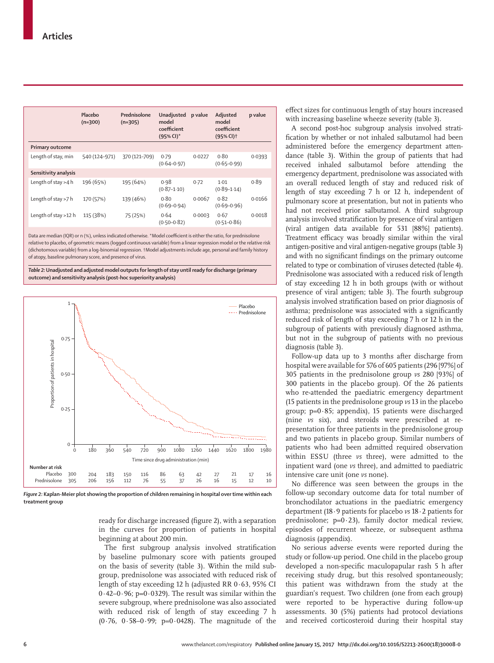|                        | Placebo<br>$(n=300)$ | Prednisolone<br>$(n=305)$ | Unadjusted<br>model<br>coefficient<br>$(95%$ CI) <sup>*</sup> | p value | Adjusted<br>model<br>coefficient<br>(95% CI) <sup>+</sup> | p value |
|------------------------|----------------------|---------------------------|---------------------------------------------------------------|---------|-----------------------------------------------------------|---------|
| <b>Primary outcome</b> |                      |                           |                                                               |         |                                                           |         |
| Length of stay, min    | 540 (124-971)        | 370 (121-709)             | 0.79<br>$(0.64 - 0.97)$                                       | 0.0227  | 0.80<br>$(0.65 - 0.99)$                                   | 0.0393  |
| Sensitivity analysis   |                      |                           |                                                               |         |                                                           |         |
| Length of stay $>4$ h  | 196 (65%)            | 195 (64%)                 | 0.98<br>$(0.87 - 1.10)$                                       | 0.72    | 1.01<br>$(0.89 - 1.14)$                                   | 0.89    |
| Length of stay >7 h    | 170 (57%)            | 139 (46%)                 | 0.80<br>$(0.69 - 0.94)$                                       | 0.0067  | 0.82<br>$(0.69 - 0.96)$                                   | 0.0166  |
| Length of stay >12 h   | 115 (38%)            | 75 (25%)                  | 0.64<br>$(0.50 - 0.82)$                                       | 0.0003  | 0.67<br>$(0.51 - 0.86)$                                   | 0.0018  |

Data are median (IQR) or n (%), unless indicated otherwise. \*Model coefficient is either the ratio, for prednisolone relative to placebo, of geometric means (logged continuous variable) from a linear regression model or the relative risk (dichotomous variable) from a log-binomial regression. †Model adjustments include age, personal and family history of atopy, baseline pulmonary score, and presence of virus.

*Table 2:* **Unadjusted and adjusted model outputs for length of stay until ready for discharge (primary outcome) and sensitivity analysis (post-hoc superiority analysis)**



*Figure 2:* **Kaplan-Meier plot showing the proportion of children remaining in hospital over time within each treatment group**

ready for discharge increased (figure 2), with a separation in the curves for proportion of patients in hospital beginning at about 200 min.

The first subgroup analysis involved stratification by baseline pulmonary score with patients grouped on the basis of severity (table 3). Within the mild subgroup, prednisolone was associated with reduced risk of length of stay exceeding 12 h (adjusted RR 0·63, 95% CI  $0.42-0.96$ ; p= $0.0329$ ). The result was similar within the severe subgroup, where prednisolone was also associated with reduced risk of length of stay exceeding 7 h (0·76, 0·58–0·99; p=0·0428). The magnitude of the effect sizes for continuous length of stay hours increased with increasing baseline wheeze severity (table 3).

A second post-hoc subgroup analysis involved stratification by whether or not inhaled salbutamol had been administered before the emergency department attendance (table 3). Within the group of patients that had received inhaled salbutamol before attending the emergency department, prednisolone was associated with an overall reduced length of stay and reduced risk of length of stay exceeding 7 h or 12 h, independent of pulmonary score at presentation, but not in patients who had not received prior salbutamol. A third subgroup analysis involved stratification by presence of viral antigen (viral antigen data available for 531 [88%] patients). Treatment efficacy was broadly similar within the viral antigen-positive and viral antigen-negative groups (table 3) and with no significant findings on the primary outcome related to type or combination of viruses detected (table 4). Prednisolone was associated with a reduced risk of length of stay exceeding 12 h in both groups (with or without presence of viral antigen; table 3). The fourth subgroup analysis involved stratification based on prior diagnosis of asthma; prednisolone was associated with a significantly reduced risk of length of stay exceeding 7 h or 12 h in the subgroup of patients with previously diagnosed asthma, but not in the subgroup of patients with no previous diagnosis (table 3).

Follow-up data up to 3 months after discharge from hospital were available for 576 of 605 patients (296 [97%] of 305 patients in the prednisolone group *vs* 280 [93%] of 300 patients in the placebo group). Of the 26 patients who re-attended the paediatric emergency department (15 patients in the prednisolone group *vs* 13 in the placebo group; p=0·85; appendix), 15 patients were discharged (nine *vs* six), and steroids were prescribed at representation for three patients in the prednisolone group and two patients in placebo group. Similar numbers of patients who had been admitted required observation within ESSU (three *vs* three), were admitted to the inpatient ward (one *vs* three), and admitted to paediatric intensive care unit (one *vs* none).

No difference was seen between the groups in the follow-up secondary outcome data for total number of bronchodilator actuations in the paediatric emergency department (18·9 patients for placebo *vs* 18·2 patients for prednisolone;  $p=0.23$ ), family doctor medical review, episodes of recurrent wheeze, or subsequent asthma diagnosis (appendix).

No serious adverse events were reported during the study or follow-up period. One child in the placebo group developed a non-specific maculopapular rash 5 h after receiving study drug, but this resolved spontaneously; this patient was withdrawn from the study at the guardian's request. Two children (one from each group) were reported to be hyperactive during follow-up assessments. 30 (5%) patients had protocol deviations and received corticosteroid during their hospital stay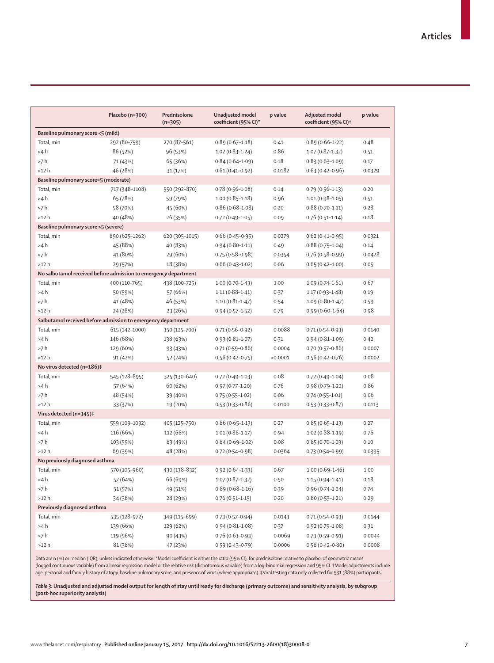|                                                                 | Placebo (n=300) | Prednisolone<br>$(n=305)$ | Unadjusted model<br>coefficient (95% CI)* | p value  | Adjusted model<br>coefficient (95% CI) <sup>+</sup> | p value |  |
|-----------------------------------------------------------------|-----------------|---------------------------|-------------------------------------------|----------|-----------------------------------------------------|---------|--|
| Baseline pulmonary score <5 (mild)                              |                 |                           |                                           |          |                                                     |         |  |
| Total, min                                                      | 292 (80-759)    | 270 (87-561)              | $0.89(0.67 - 1.18)$                       | 0.41     | $0.89(0.66 - 1.22)$                                 | 0.48    |  |
| >4 h                                                            | 86 (52%)        | 96 (53%)                  | $1.02(0.83 - 1.24)$                       | 0.86     | $1.07(0.87-1.32)$                                   | 0.51    |  |
| >7 h                                                            | 71 (43%)        | 65 (36%)                  | $0.84(0.64 - 1.09)$                       | 0.18     | $0.83(0.63 - 1.09)$                                 | 0.17    |  |
| >12 h                                                           | 46 (28%)        | 31 (17%)                  | $0.61(0.41 - 0.92)$                       | 0.0182   | $0.63(0.42 - 0.96)$                                 | 0.0329  |  |
| Baseline pulmonary score=5 (moderate)                           |                 |                           |                                           |          |                                                     |         |  |
| Total, min                                                      | 717 (348-1108)  | 550 (292-870)             | $0.78(0.56 - 1.08)$                       | 0.14     | $0.79(0.56 - 1.13)$                                 | 0.20    |  |
| >4 h                                                            | 65 (78%)        | 59 (79%)                  | $1.00(0.85 - 1.18)$                       | 0.96     | $1.01(0.98 - 1.05)$                                 | 0.51    |  |
| >7 h                                                            | 58 (70%)        | 45 (60%)                  | $0.86(0.68 - 1.08)$                       | 0.20     | $0.88(0.70 - 1.11)$                                 | 0.28    |  |
| >12 h                                                           | 40 (48%)        | 26 (35%)                  | $0.72(0.49 - 1.05)$                       | 0.09     | $0.76(0.51 - 1.14)$                                 | 0.18    |  |
| Baseline pulmonary score >5 (severe)                            |                 |                           |                                           |          |                                                     |         |  |
| Total, min                                                      | 890 (625-1262)  | 620 (305-1015)            | $0.66(0.45 - 0.95)$                       | 0.0279   | $0.62(0.41 - 0.95)$                                 | 0.0321  |  |
| >4 h                                                            | 45 (88%)        | 40 (83%)                  | $0.94(0.80 - 1.11)$                       | 0.49     | $0.88(0.75 - 1.04)$                                 | 0.14    |  |
| >7 h                                                            | 41 (80%)        | 29 (60%)                  | $0.75(0.58 - 0.98)$                       | 0.0354   | $0.76(0.58 - 0.99)$                                 | 0.0428  |  |
| >12 h                                                           | 29 (57%)        | 18 (38%)                  | $0.66(0.43 - 1.02)$                       | 0.06     | $0.65(0.42 - 1.00)$                                 | 0.05    |  |
| No salbutamol received before admission to emergency department |                 |                           |                                           |          |                                                     |         |  |
| Total, min                                                      | 400 (110-765)   | 438 (100-725)             | $1.00(0.70 - 1.43)$                       | $1-00$   | $1.09(0.74 - 1.61)$                                 | 0.67    |  |
| >4 h                                                            | 50 (59%)        | 57 (66%)                  | $1.11(0.88 - 1.41)$                       | 0.37     | $1.17(0.93 - 1.48)$                                 | 0.19    |  |
| >7 h                                                            | 41 (48%)        | 46 (53%)                  | $1.10(0.81 - 1.47)$                       | 0.54     | $1.09(0.80 - 1.47)$                                 | 0.59    |  |
| >12 h                                                           | 24 (28%)        | 23 (26%)                  | $0.94(0.57 - 1.52)$                       | 0.79     | $0.99(0.60 - 1.64)$                                 | 0.98    |  |
| Salbutamol received before admission to emergency department    |                 |                           |                                           |          |                                                     |         |  |
| Total, min                                                      | 615 (142-1000)  | 350 (125-700)             | $0.71(0.56 - 0.92)$                       | 0.0088   | $0.71(0.54 - 0.93)$                                 | 0.0140  |  |
| >4 h                                                            | 146 (68%)       | 138 (63%)                 | $0.93(0.81 - 1.07)$                       | 0.31     | $0.94(0.81 - 1.09)$                                 | 0.42    |  |
| >7 h                                                            | 129 (60%)       | 93 (43%)                  | $0.71(0.59 - 0.86)$                       | 0.0004   | $0.70(0.57 - 0.86)$                                 | 0.0007  |  |
| >12 h                                                           | 91 (42%)        | 52 (24%)                  | $0.56(0.42 - 0.75)$                       | < 0.0001 | $0.56(0.42 - 0.76)$                                 | 0.0002  |  |
| No virus detected (n=186)‡                                      |                 |                           |                                           |          |                                                     |         |  |
| Total, min                                                      | 545 (128-895)   | 325 (130-640)             | $0.72(0.49 - 1.03)$                       | 0.08     | $0.72(0.49 - 1.04)$                                 | 0.08    |  |
| >4 h                                                            | 57 (64%)        | 60 (62%)                  | $0.97(0.77 - 1.20)$                       | 0.76     | $0.98(0.79 - 1.22)$                                 | 0.86    |  |
| >7 h                                                            | 48 (54%)        | 39 (40%)                  | $0.75(0.55 - 1.02)$                       | 0.06     | $0.74(0.55 - 1.01)$                                 | 0.06    |  |
| >12 h                                                           | 33 (37%)        | 19 (20%)                  | $0.53(0.33 - 0.86)$                       | 0.0100   | $0.53(0.33 - 0.87)$                                 | 0.0113  |  |
| Virus detected (n=345)‡                                         |                 |                           |                                           |          |                                                     |         |  |
| Total, min                                                      | 559 (109-1032)  | 405 (125-750)             | $0.86(0.65 - 1.13)$                       | 0.27     | $0.85(0.65 - 1.13)$                                 | 0.27    |  |
| >4 h                                                            | 116 (66%)       | 112 (66%)                 | $1.01(0.86 - 1.17)$                       | 0.94     | $1.02(0.88 - 1.19)$                                 | 0.76    |  |
| >7 h                                                            | 103 (59%)       | 83 (49%)                  | $0.84(0.69-1.02)$                         | 0.08     | $0.85(0.70-1.03)$                                   | 0.10    |  |
| >12 h                                                           | 69 (39%)        | 48 (28%)                  | $0.72(0.54 - 0.98)$                       | 0.0364   | $0.73(0.54 - 0.99)$                                 | 0.0395  |  |
| No previously diagnosed asthma                                  |                 |                           |                                           |          |                                                     |         |  |
| Total, min                                                      | 570 (105-960)   | 430 (138-832)             | $0.92(0.64 - 1.33)$                       | 0.67     | $1.00(0.69-1.46)$                                   | $1-00$  |  |
| >4 h                                                            | 57 (64%)        | 66 (69%)                  | $1.07(0.87 - 1.32)$                       | 0.50     | $1.15(0.94 - 1.41)$                                 | 0.18    |  |
| >7 h                                                            | 51 (57%)        | 49 (51%)                  | $0.89(0.68 - 1.16)$                       | 0.39     | $0.96(0.74 - 1.24)$                                 | 0.74    |  |
| >12 h                                                           | 34 (38%)        | 28 (29%)                  | $0.76(0.51 - 1.15)$                       | 0.20     | $0.80(0.53 - 1.21)$                                 | 0.29    |  |
| Previously diagnosed asthma                                     |                 |                           |                                           |          |                                                     |         |  |
| Total, min                                                      | 535 (128-972)   | 349 (115-699)             | $0.73(0.57 - 0.94)$                       | 0.0143   | $0.71(0.54 - 0.93)$                                 | 0.0144  |  |
| >4 h                                                            | 139 (66%)       | 129 (62%)                 | $0.94(0.81 - 1.08)$                       | 0.37     | $0.92(0.79 - 1.08)$                                 | 0.31    |  |
| >7 h                                                            | 119 (56%)       | 90 (43%)                  | $0.76(0.63 - 0.93)$                       | 0.0069   | $0.73(0.59 - 0.91)$                                 | 0.0044  |  |
| >12 h                                                           | 81 (38%)        | 47 (23%)                  | $0.59(0.43 - 0.79)$                       | 0.0006   | $0.58(0.42 - 0.80)$                                 | 0.0008  |  |

Data are n (%) or median (IQR), unless indicated otherwise. \*Model coefficient is either the ratio (95% CI), for prednisolone relative to placebo, of geometric means (logged continuous variable) from a linear regression model or the relative risk (dichotomous variable) from a log-binomial regression and 95% CI. †Model adjustments include age, personal and family history of atopy, baseline pulmonary score, and presence of virus (where appropriate). ‡Viral testing data only collected for 531 (88%) participants.

*Table 3:* **Unadjusted and adjusted model output for length of stay until ready for discharge (primary outcome) and sensitivity analysis, by subgroup (post-hoc superiority analysis)**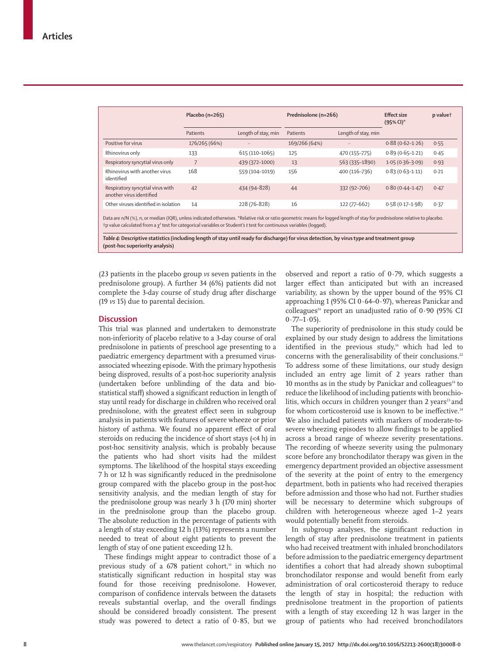|                                                              | Placebo (n=265) |                     | Prednisolone (n=266) |                      | <b>Effect size</b><br>$(95%$ CI) <sup>*</sup> | p valuet |
|--------------------------------------------------------------|-----------------|---------------------|----------------------|----------------------|-----------------------------------------------|----------|
|                                                              | Patients        | Length of stay, min | Patients             | Length of stay, min  |                                               |          |
| Positive for virus                                           | 176/265 (66%)   | $\cdot$             | 169/266 (64%)        | $\ddot{\phantom{a}}$ | $0.88(0.62 - 1.26)$                           | 0.55     |
| Rhinovirus only                                              | 133             | 615 (110-1065)      | 125                  | 470 (155-775)        | $0.89(0.65 - 1.21)$                           | 0.45     |
| Respiratory syncytial virus only                             |                 | 439 (372-1000)      | 13                   | 563 (335-1890)       | $1.05(0.36-3.09)$                             | 0.93     |
| Rhinovirus with another virus<br>identified                  | 168             | 559 (104-1019)      | 156                  | 400 (116-736)        | $0.83(0.63 - 1.11)$                           | 0.21     |
| Respiratory syncytial virus with<br>another virus identified | 42              | 434 (94-828)        | 44                   | 332 (92-706)         | $0.80(0.44 - 1.47)$                           | 0.47     |
| Other viruses identified in isolation                        | 14              | 228 (76-828)        | 16                   | 122 (77-662)         | $0.58(0.17-1.98)$                             | 0.37     |
|                                                              |                 |                     |                      |                      |                                               |          |

Data are n/N (%), n, or median (IQR), unless indicated otherwises. \*Relative risk or ratio geometric means for logged length of stay for prednisolone relative to placebo. †p value calculated from a χ² test for categorical variables or Student's *t* test for continuous variables (logged).

*Table 4:* **Descriptive statistics (including length of stay until ready for discharge) for virus detection, by virus type and treatment group (post-hoc superiority analysis)**

(23 patients in the placebo group *vs* seven patients in the prednisolone group). A further 34 (6%) patients did not complete the 3-day course of study drug after discharge (19 *vs* 15) due to parental decision.

# **Discussion**

This trial was planned and undertaken to demonstrate non-inferiority of placebo relative to a 3-day course of oral prednisolone in patients of preschool age presenting to a paediatric emergency department with a presumed virusassociated wheezing episode. With the primary hypothesis being disproved, results of a post-hoc superiority analysis (undertaken before unblinding of the data and biostatistical staff) showed a significant reduction in length of stay until ready for discharge in children who received oral prednisolone, with the greatest effect seen in subgroup analysis in patients with features of severe wheeze or prior history of asthma. We found no apparent effect of oral steroids on reducing the incidence of short stays (<4 h) in post-hoc sensitivity analysis, which is probably because the patients who had short visits had the mildest symptoms. The likelihood of the hospital stays exceeding 7 h or 12 h was significantly reduced in the prednisolone group compared with the placebo group in the post-hoc sensitivity analysis, and the median length of stay for the prednisolone group was nearly 3 h (170 min) shorter in the prednisolone group than the placebo group. The absolute reduction in the percentage of patients with a length of stay exceeding 12 h (13%) represents a number needed to treat of about eight patients to prevent the length of stay of one patient exceeding 12 h.

These findings might appear to contradict those of a previous study of a  $678$  patient cohort,<sup>14</sup> in which no statistically significant reduction in hospital stay was found for those receiving prednisolone. However, comparison of confidence intervals between the datasets reveals substantial overlap, and the overall findings should be considered broadly consistent. The present study was powered to detect a ratio of 0·85, but we observed and report a ratio of  $0.79$ , which suggests a larger effect than anticipated but with an increased variability, as shown by the upper bound of the 95% CI approaching 1 (95% CI 0·64–0·97), whereas Panickar and colleagues<sup>14</sup> report an unadjusted ratio of  $0.90$  (95% CI  $0.77-1.05$ ).

The superiority of prednisolone in this study could be explained by our study design to address the limitations identified in the previous study, $44$  which had led to concerns with the generalisability of their conclusions.<sup>22</sup> To address some of these limitations, our study design included an entry age limit of 2 years rather than 10 months as in the study by Panickar and colleagues $14$  to reduce the likelihood of including patients with bronchiolitis, which occurs in children younger than 2 years<sup>23</sup> and for whom corticosteroid use is known to be ineffective.<sup>24</sup> We also included patients with markers of moderate-tosevere wheezing episodes to allow findings to be applied across a broad range of wheeze severity presentations. The recording of wheeze severity using the pulmonary score before any bronchodilator therapy was given in the emergency department provided an objective assessment of the severity at the point of entry to the emergency department, both in patients who had received therapies before admission and those who had not. Further studies will be necessary to determine which subgroups of children with heterogeneous wheeze aged 1–2 years would potentially benefit from steroids.

In subgroup analyses, the significant reduction in length of stay after prednisolone treatment in patients who had received treatment with inhaled bronchodilators before admission to the paediatric emergency department identifies a cohort that had already shown suboptimal bronchodilator response and would benefit from early administration of oral corticosteroid therapy to reduce the length of stay in hospital; the reduction with prednisolone treatment in the proportion of patients with a length of stay exceeding 12 h was larger in the group of patients who had received bronchodilators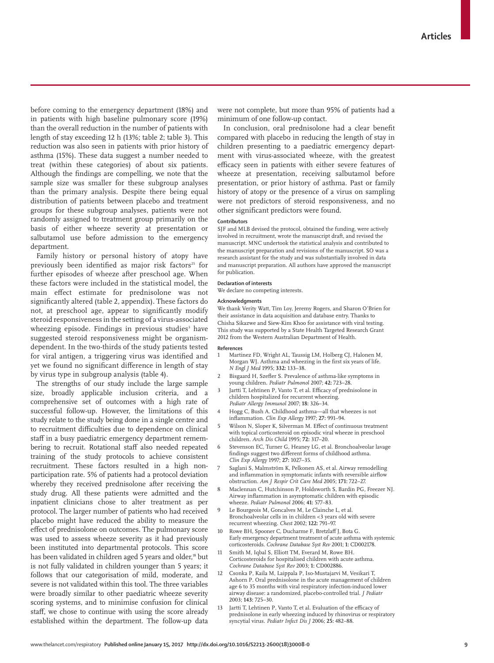before coming to the emergency department (18%) and in patients with high baseline pulmonary score (19%) than the overall reduction in the number of patients with length of stay exceeding 12 h (13%; table 2; table 3). This reduction was also seen in patients with prior history of asthma (15%). These data suggest a number needed to treat (within these categories) of about six patients. Although the findings are compelling, we note that the sample size was smaller for these subgroup analyses than the primary analysis. Despite there being equal distribution of patients between placebo and treatment groups for these subgroup analyses, patients were not randomly assigned to treatment group primarily on the basis of either wheeze severity at presentation or salbutamol use before admission to the emergency department.

Family history or personal history of atopy have previously been identified as major risk factors<sup>25</sup> for further episodes of wheeze after preschool age. When these factors were included in the statistical model, the main effect estimate for prednisolone was not significantly altered (table 2, appendix). These factors do not, at preschool age, appear to significantly modify steroid responsiveness in the setting of a virus-associated wheezing episode. Findings in previous studies<sup>3</sup> have suggested steroid responsiveness might be organismdependent. In the two-thirds of the study patients tested for viral antigen, a triggering virus was identified and yet we found no significant difference in length of stay by virus type in subgroup analysis (table 4).

The strengths of our study include the large sample size, broadly applicable inclusion criteria, and a comprehensive set of outcomes with a high rate of successful follow-up. However, the limitations of this study relate to the study being done in a single centre and to recruitment difficulties due to dependence on clinical staff in a busy paediatric emergency department remembering to recruit. Rotational staff also needed repeated training of the study protocols to achieve consistent recruitment. These factors resulted in a high nonparticipation rate. 5% of patients had a protocol deviation whereby they received prednisolone after receiving the study drug. All these patients were admitted and the inpatient clinicians chose to alter treatment as per protocol. The larger number of patients who had received placebo might have reduced the ability to measure the effect of prednisolone on outcomes. The pulmonary score was used to assess wheeze severity as it had previously been instituted into departmental protocols. This score has been validated in children aged 5 years and older,<sup>18</sup> but is not fully validated in children younger than 5 years; it follows that our categorisation of mild, moderate, and severe is not validated within this tool. The three variables were broadly similar to other paediatric wheeze severity scoring systems, and to minimise confusion for clinical staff, we chose to continue with using the score already established within the department. The follow-up data

were not complete, but more than 95% of patients had a minimum of one follow-up contact.

In conclusion, oral prednisolone had a clear benefit compared with placebo in reducing the length of stay in children presenting to a paediatric emergency department with virus-associated wheeze, with the greatest efficacy seen in patients with either severe features of wheeze at presentation, receiving salbutamol before presentation, or prior history of asthma. Past or family history of atopy or the presence of a virus on sampling were not predictors of steroid responsiveness, and no other significant predictors were found.

#### **Contributors**

SJF and MLB devised the protocol, obtained the funding, were actively involved in recruitment, wrote the manuscript draft, and revised the manuscript. MNC undertook the statistical analysis and contributed to the manuscript preparation and revisions of the manuscript. SO was a research assistant for the study and was substantially involved in data and manuscript preparation. All authors have approved the manuscript for publication.

#### **Declaration of interests**

We declare no competing interests.

#### **Acknowledgments**

We thank Verity Watt, Tim Loy, Jeremy Rogers, and Sharon O'Brien for their assistance in data acquisition and database entry. Thanks to Chisha Sikazwe and Siew-Kim Khoo for assistance with viral testing. This study was supported by a State Health Targeted Research Grant 2012 from the Western Australian Department of Health.

#### **References**

- Martinez FD, Wright AL, Taussig LM, Holberg CJ, Halonen M, Morgan WJ. Asthma and wheezing in the first six years of life. *N Engl J Med* 1995; **332:** 133–38.
- 2 Bisgaard H, Szefler S. Prevalence of asthma-like symptoms in young children. *Pediatr Pulmonol* 2007; **42:** 723–28.
- Jartti T, Lehtinen P, Vanto T, et al. Efficacy of prednisolone in children hospitalized for recurrent wheezing. *Pediatr Allergy Immunol* 2007; **18:** 326–34.
- 4 Hogg C, Bush A. Childhood asthma—all that wheezes is not inflammation. *Clin Exp Allergy* 1997; **27:** 991–94.
- 5 Wilson N, Sloper K, Silverman M. Effect of continuous treatment with topical corticosteroid on episodic viral wheeze in preschool children. *Arch Dis Child* 1995; **72:** 317–20.
- 6 Stevenson EC, Turner G, Heaney LG, et al. Bronchoalveolar lavage findings suggest two different forms of childhood asthma. *Clin Exp Allergy* 1997; **27:** 1027–35.
- 7 Saglani S, Malmström K, Pelkonen AS, et al. Airway remodelling and inflammation in symptomatic infants with reversible airflow obstruction. *Am J Respir Crit Care Med* 2005; **171:** 722–27.
- Maclennan C, Hutchinson P, Holdsworth S, Bardin PG, Freezer NJ. Airway inflammation in asymptomatic children with episodic wheeze. *Pediatr Pulmonol* 2006; **41:** 577–83.
- Le Bourgeois M, Goncalves M, Le Clainche L, et al. Bronchoalveolar cells in in children <3 years old with severe recurrent wheezing. *Chest* 2002; **122:** 791–97.
- 10 Rowe BH, Spooner C, Ducharme F, Bretzlaff J, Bota G. Early emergency department treatment of acute asthma with systemic corticosteroids. *Cochrane Database Syst Rev* 2001; **1:** CD002178.
- 11 Smith M, Iqbal S, Elliott TM, Everard M, Rowe BH. Corticosteroids for hospitalised children with acute asthma. *Cochrane Database Syst Rev* 2003; **1:** CD002886.
- 12 Csonka P, Kaila M, Laippala P, Iso-Mustajarvi M, Vesikari T, Ashorn P. Oral prednisolone in the acute management of children age 6 to 35 months with viral respiratory infection-induced lower airway disease: a randomized, placebo-controlled trial. *J Pediatr* 2003; **143:** 725–30.
- 13 Jartti T, Lehtinen P, Vanto T, et al. Evaluation of the efficacy of prednisolone in early wheezing induced by rhinovirus or respiratory syncytial virus. *Pediatr Infect Dis J* 2006; **25:** 482–88.